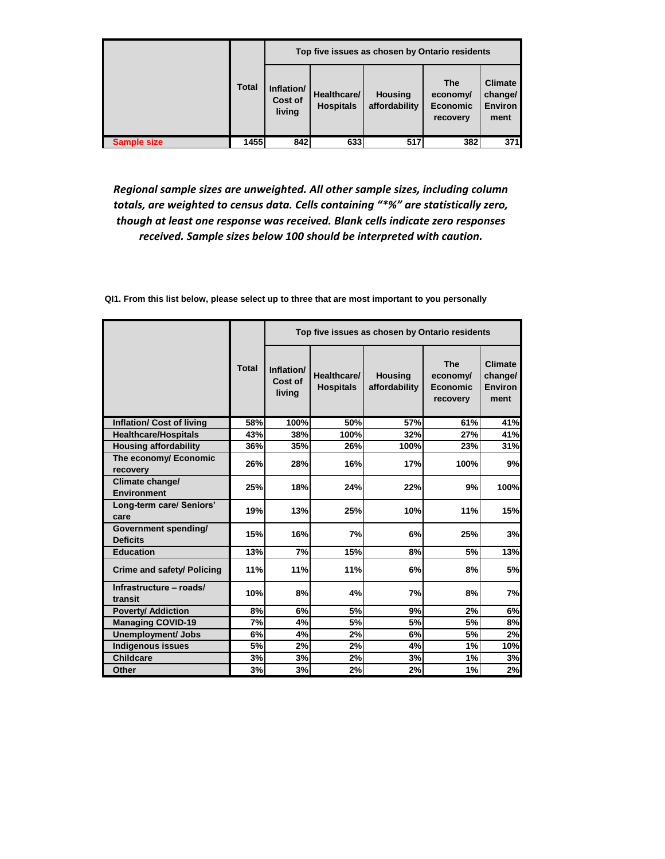|                    |              |                                        | Top five issues as chosen by Ontario residents |                                 |                                                       |                                                     |  |  |
|--------------------|--------------|----------------------------------------|------------------------------------------------|---------------------------------|-------------------------------------------------------|-----------------------------------------------------|--|--|
|                    | <b>Total</b> | Inflation/<br><b>Cost of</b><br>living | Healthcare/<br><b>Hospitals</b>                | <b>Housing</b><br>affordability | <b>The</b><br>economy/<br><b>Economic</b><br>recovery | <b>Climate</b><br>change/<br><b>Environ</b><br>ment |  |  |
| <b>Sample size</b> | 1455         | 842                                    | 633                                            | 517                             | 382                                                   | 371                                                 |  |  |

*Regional sample sizes are unweighted. All other sample sizes, including column totals, are weighted to census data. Cells containing "\*%" are statistically zero, though at least one response was received. Blank cells indicate zero responses received. Sample sizes below 100 should be interpreted with caution.* 

|                                         |              | Top five issues as chosen by Ontario residents |                                 |                                 |                                                       |                                                     |  |  |
|-----------------------------------------|--------------|------------------------------------------------|---------------------------------|---------------------------------|-------------------------------------------------------|-----------------------------------------------------|--|--|
|                                         | <b>Total</b> | Inflation/<br>Cost of<br>living                | Healthcare/<br><b>Hospitals</b> | <b>Housing</b><br>affordability | <b>The</b><br>economy/<br><b>Economic</b><br>recovery | <b>Climate</b><br>change/<br><b>Environ</b><br>ment |  |  |
| <b>Inflation/ Cost of living</b>        | 58%          | 100%                                           | 50%                             | 57%                             | 61%                                                   | 41%                                                 |  |  |
| <b>Healthcare/Hospitals</b>             | 43%          | 38%                                            | 100%                            | 32%                             | 27%                                                   | 41%                                                 |  |  |
| <b>Housing affordability</b>            | 36%          | 35%                                            | 26%                             | 100%                            | 23%                                                   | 31%                                                 |  |  |
| The economy/ Economic<br>recovery       | 26%          | 28%                                            | 16%                             | 17%                             | 100%                                                  | 9%                                                  |  |  |
| Climate change/<br><b>Environment</b>   | 25%          | 18%                                            | 24%                             | 22%                             | 9%                                                    | 100%                                                |  |  |
| Long-term care/ Seniors'<br>care        | 19%          | 13%                                            | 25%                             | 10%                             | 11%                                                   | 15%                                                 |  |  |
| Government spending/<br><b>Deficits</b> | 15%          | 16%                                            | 7%                              | 6%                              | 25%                                                   | 3%                                                  |  |  |
| <b>Education</b>                        | 13%          | 7%                                             | 15%                             | 8%                              | 5%                                                    | 13%                                                 |  |  |
| Crime and safety/ Policing              | 11%          | 11%                                            | 11%                             | 6%                              | 8%                                                    | <b>5%</b>                                           |  |  |
| Infrastructure - roads/<br>transit      | 10%          | 8%                                             | 4%                              | 7%                              | 8%                                                    | 7%                                                  |  |  |
| <b>Poverty/ Addiction</b>               | 8%           | 6%                                             | 5%                              | 9%                              | 2%                                                    | 6%                                                  |  |  |
| <b>Managing COVID-19</b>                | 7%           | 4%                                             | 5%                              | 5%                              | 5%                                                    | 8%                                                  |  |  |
| <b>Unemployment/ Jobs</b>               | 6%           | 4%                                             | 2%                              | 6%                              | 5%                                                    | 2%                                                  |  |  |
| <b>Indigenous issues</b>                | 5%           | 2%                                             | 2%                              | 4%                              | 1%                                                    | 10%                                                 |  |  |
| <b>Childcare</b>                        | 3%           | 3%                                             | 2%                              | 3%                              | 1%                                                    | 3%                                                  |  |  |
| <b>Other</b>                            | 3%           | 3%                                             | 2%                              | 2%                              | 1%                                                    | 2%                                                  |  |  |

**QI1. From this list below, please select up to three that are most important to you personally**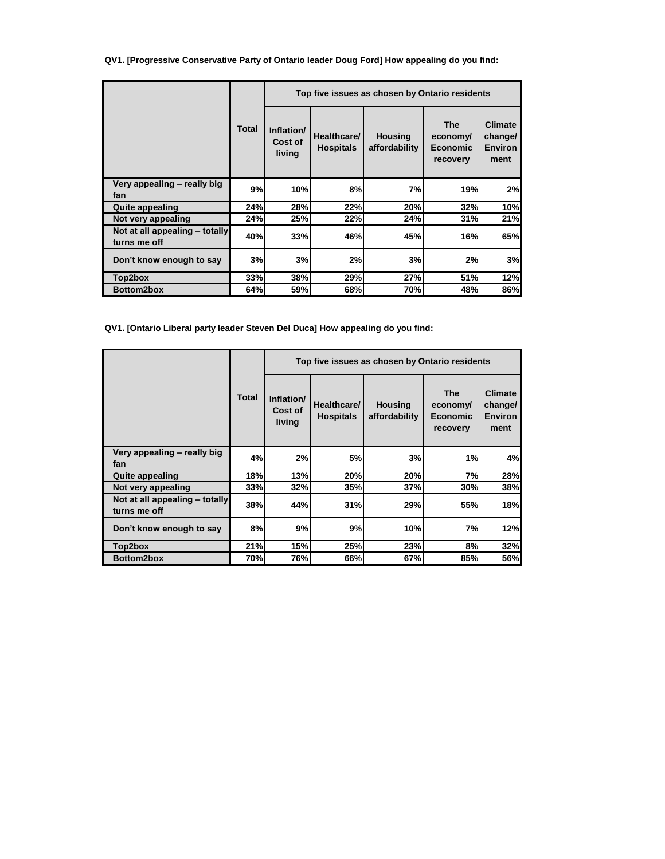**QV1. [Progressive Conservative Party of Ontario leader Doug Ford] How appealing do you find:**

|                                                |              | Top five issues as chosen by Ontario residents |                                 |                                 |                                                       |                                                     |  |  |
|------------------------------------------------|--------------|------------------------------------------------|---------------------------------|---------------------------------|-------------------------------------------------------|-----------------------------------------------------|--|--|
|                                                | <b>Total</b> | Inflation/<br>Cost of<br>living                | Healthcare/<br><b>Hospitals</b> | <b>Housing</b><br>affordability | <b>The</b><br>economy/<br><b>Economic</b><br>recovery | <b>Climate</b><br>change/<br><b>Environ</b><br>ment |  |  |
| Very appealing - really big<br>fan             | 9%           | 10%                                            | 8%                              | 7%                              | 19%                                                   | 2%                                                  |  |  |
| <b>Quite appealing</b>                         | 24%          | 28%                                            | 22%                             | 20%                             | 32%                                                   | 10%                                                 |  |  |
| Not very appealing                             | 24%          | 25%                                            | 22%                             | 24%                             | 31%                                                   | 21%                                                 |  |  |
| Not at all appealing - totally<br>turns me off | 40%          | 33%                                            | 46%                             | 45%                             | 16%                                                   | 65%                                                 |  |  |
| Don't know enough to say                       | 3%           | 3%                                             | 2%                              | 3%                              | 2%                                                    | 3%                                                  |  |  |
| Top2box                                        | 33%          | 38%                                            | 29%                             | 27%                             | 51%                                                   | 12%                                                 |  |  |
| Bottom2box                                     | 64%          | 59%                                            | 68%                             | 70%                             | 48%                                                   | 86%                                                 |  |  |

**QV1. [Ontario Liberal party leader Steven Del Duca] How appealing do you find:**

|                                                |              | Top five issues as chosen by Ontario residents |                                 |                                 |                                                       |                                                     |  |  |
|------------------------------------------------|--------------|------------------------------------------------|---------------------------------|---------------------------------|-------------------------------------------------------|-----------------------------------------------------|--|--|
|                                                | <b>Total</b> | Inflation/<br>Cost of<br>living                | Healthcare/<br><b>Hospitals</b> | <b>Housing</b><br>affordability | <b>The</b><br>economy/<br><b>Economic</b><br>recovery | <b>Climate</b><br>change/<br><b>Environ</b><br>ment |  |  |
| Very appealing - really big<br>fan             | 4%           | 2%                                             | 5%                              | 3%                              | 1%                                                    | 4%                                                  |  |  |
| <b>Quite appealing</b>                         | 18%          | 13%                                            | 20%                             | 20%                             | 7%                                                    | 28%                                                 |  |  |
| Not very appealing                             | 33%          | 32%                                            | 35%                             | 37%                             | 30%                                                   | 38%                                                 |  |  |
| Not at all appealing - totally<br>turns me off | 38%          | 44%                                            | 31%                             | 29%                             | 55%                                                   | 18%                                                 |  |  |
| Don't know enough to say                       | 8%           | 9%                                             | 9%                              | 10%                             | 7%                                                    | 12%                                                 |  |  |
| Top2box                                        | 21%          | 15%                                            | 25%                             | 23%                             | 8%                                                    | 32%                                                 |  |  |
| Bottom2box                                     | 70%          | 76%                                            | 66%                             | 67%                             | 85%                                                   | 56%                                                 |  |  |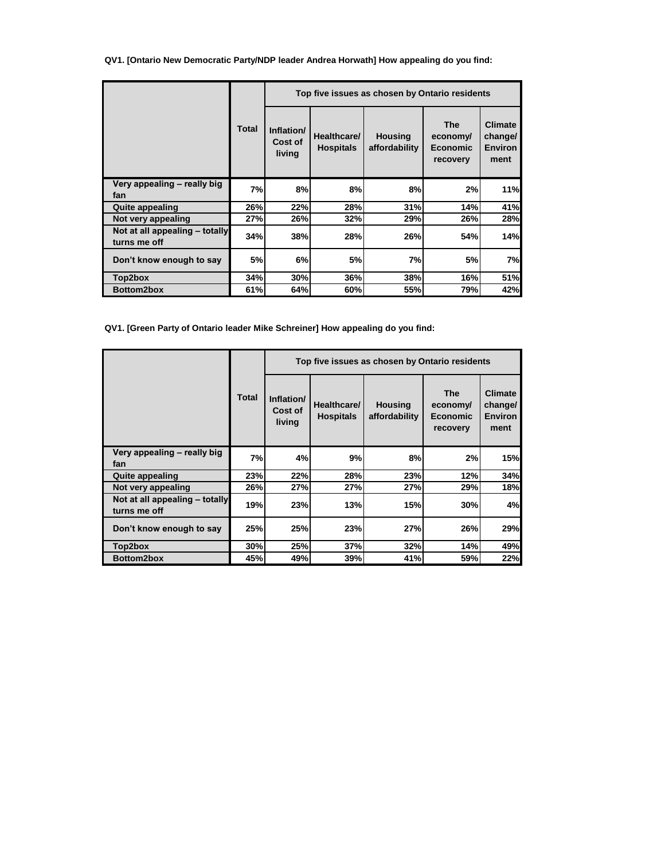**QV1. [Ontario New Democratic Party/NDP leader Andrea Horwath] How appealing do you find:**

|                                                |              | Top five issues as chosen by Ontario residents |                                 |                                 |                                                       |                                                     |  |  |
|------------------------------------------------|--------------|------------------------------------------------|---------------------------------|---------------------------------|-------------------------------------------------------|-----------------------------------------------------|--|--|
|                                                | <b>Total</b> | Inflation/<br>Cost of<br>living                | Healthcare/<br><b>Hospitals</b> | <b>Housing</b><br>affordability | <b>The</b><br>economy/<br><b>Economic</b><br>recovery | <b>Climate</b><br>change/<br><b>Environ</b><br>ment |  |  |
| Very appealing - really big<br>fan             | 7%           | 8%                                             | 8%                              | 8%                              | 2%                                                    | 11%                                                 |  |  |
| <b>Quite appealing</b>                         | 26%          | 22%                                            | 28%                             | 31%                             | 14%                                                   | 41%                                                 |  |  |
| Not very appealing                             | 27%          | 26%                                            | 32%                             | 29%                             | 26%                                                   | 28%                                                 |  |  |
| Not at all appealing - totally<br>turns me off | 34%          | 38%                                            | 28%                             | 26%                             | 54%                                                   | 14%                                                 |  |  |
| Don't know enough to say                       | 5%           | 6%                                             | 5%                              | 7%                              | 5%                                                    | 7%                                                  |  |  |
| Top2box                                        | 34%          | 30%                                            | 36%                             | 38%                             | 16%                                                   | 51%                                                 |  |  |
| Bottom2box                                     | 61%          | 64%                                            | 60%                             | <b>55%</b>                      | 79%                                                   | 42%                                                 |  |  |

**QV1. [Green Party of Ontario leader Mike Schreiner] How appealing do you find:**

|                                                |       | Top five issues as chosen by Ontario residents |                                 |                                 |                                                       |                                                     |  |  |
|------------------------------------------------|-------|------------------------------------------------|---------------------------------|---------------------------------|-------------------------------------------------------|-----------------------------------------------------|--|--|
|                                                | Total | Inflation/<br>Cost of<br>living                | Healthcare/<br><b>Hospitals</b> | <b>Housing</b><br>affordability | <b>The</b><br>economy/<br><b>Economic</b><br>recovery | <b>Climate</b><br>change/<br><b>Environ</b><br>ment |  |  |
| Very appealing - really big<br>fan             | 7%    | 4%                                             | 9%                              | 8%                              | 2%                                                    | 15%                                                 |  |  |
| <b>Quite appealing</b>                         | 23%   | 22%                                            | 28%                             | 23%                             | 12%                                                   | 34%                                                 |  |  |
| Not very appealing                             | 26%   | 27%                                            | 27%                             | 27%                             | 29%                                                   | 18%                                                 |  |  |
| Not at all appealing - totally<br>turns me off | 19%   | 23%                                            | 13%                             | 15%                             | 30%                                                   | 4%                                                  |  |  |
| Don't know enough to say                       | 25%   | 25%                                            | 23%                             | 27%                             | 26%                                                   | 29%                                                 |  |  |
| Top2box                                        | 30%   | 25%                                            | 37%                             | 32%                             | 14%                                                   | 49%                                                 |  |  |
| Bottom2box                                     | 45%   | 49%                                            | 39%                             | 41%                             | 59%                                                   | 22%                                                 |  |  |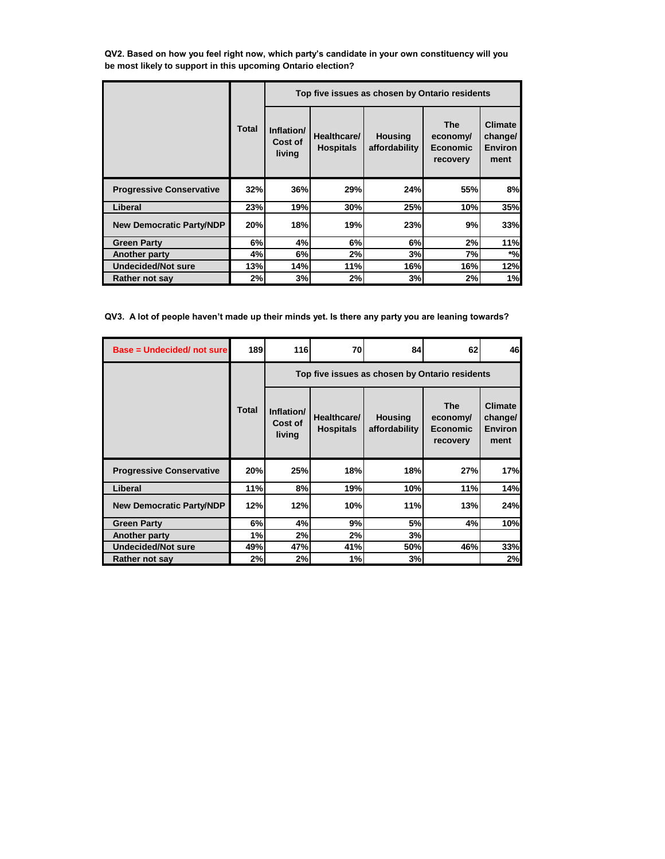**QV2. Based on how you feel right now, which party's candidate in your own constituency will you be most likely to support in this upcoming Ontario election?**

|                                 |              | Top five issues as chosen by Ontario residents |                                 |                                 |                                                       |                                                     |  |  |
|---------------------------------|--------------|------------------------------------------------|---------------------------------|---------------------------------|-------------------------------------------------------|-----------------------------------------------------|--|--|
|                                 | <b>Total</b> | Inflation/<br>Cost of<br>living                | Healthcare/<br><b>Hospitals</b> | <b>Housing</b><br>affordability | <b>The</b><br>economy/<br><b>Economic</b><br>recovery | <b>Climate</b><br>change/<br><b>Environ</b><br>ment |  |  |
| <b>Progressive Conservative</b> | 32%          | 36%                                            | 29%                             | 24%                             | 55%                                                   | 8%                                                  |  |  |
| Liberal                         | 23%          | 19%                                            | 30%                             | 25%                             | 10%                                                   | 35%                                                 |  |  |
| <b>New Democratic Party/NDP</b> | 20%          | 18%                                            | 19%                             | 23%                             | 9%                                                    | 33%                                                 |  |  |
| <b>Green Party</b>              | 6%           | 4%                                             | 6%                              | 6%                              | 2%                                                    | 11%                                                 |  |  |
| Another party                   | 4%           | 6%                                             | 2%                              | 3%                              | 7%                                                    | $*$ %                                               |  |  |
| <b>Undecided/Not sure</b>       | 13%          | 14%l                                           | 11%                             | 16%                             | 16%                                                   | 12%                                                 |  |  |
| Rather not say                  | 2%           | 3%                                             | 2%                              | 3%                              | 2%                                                    | 1%                                                  |  |  |

**QV3. A lot of people haven't made up their minds yet. Is there any party you are leaning towards?**

| Base = Undecided/ not sure      | <b>189</b>   | <b>116</b>                                     | 70                              | 84                              | 62                                                    | 46                                                  |  |  |
|---------------------------------|--------------|------------------------------------------------|---------------------------------|---------------------------------|-------------------------------------------------------|-----------------------------------------------------|--|--|
|                                 |              | Top five issues as chosen by Ontario residents |                                 |                                 |                                                       |                                                     |  |  |
|                                 | <b>Total</b> | Inflation/<br>Cost of<br>living                | Healthcare/<br><b>Hospitals</b> | <b>Housing</b><br>affordability | <b>The</b><br>economy/<br><b>Economic</b><br>recovery | <b>Climate</b><br>change/<br><b>Environ</b><br>ment |  |  |
| <b>Progressive Conservative</b> | 20%          | 25%                                            | 18%                             | 18%                             | 27%                                                   | 17%                                                 |  |  |
| Liberal                         | 11%          | 8%                                             | 19%                             | 10%                             | 11%                                                   | 14%                                                 |  |  |
| <b>New Democratic Party/NDP</b> | 12%          | 12%                                            | 10%                             | 11%                             | 13%                                                   | 24%                                                 |  |  |
| <b>Green Party</b>              | 6%           | 4%                                             | 9%                              | 5%                              | 4%                                                    | 10%                                                 |  |  |
| <b>Another party</b>            | 1%           | 2%                                             | 2%                              | 3%                              |                                                       |                                                     |  |  |
| <b>Undecided/Not sure</b>       | 49%          | 47%                                            | 41%                             | 50%                             | 46%                                                   | 33%                                                 |  |  |
| Rather not say                  | 2%           | 2%                                             | 1%                              | 3%                              |                                                       | 2%                                                  |  |  |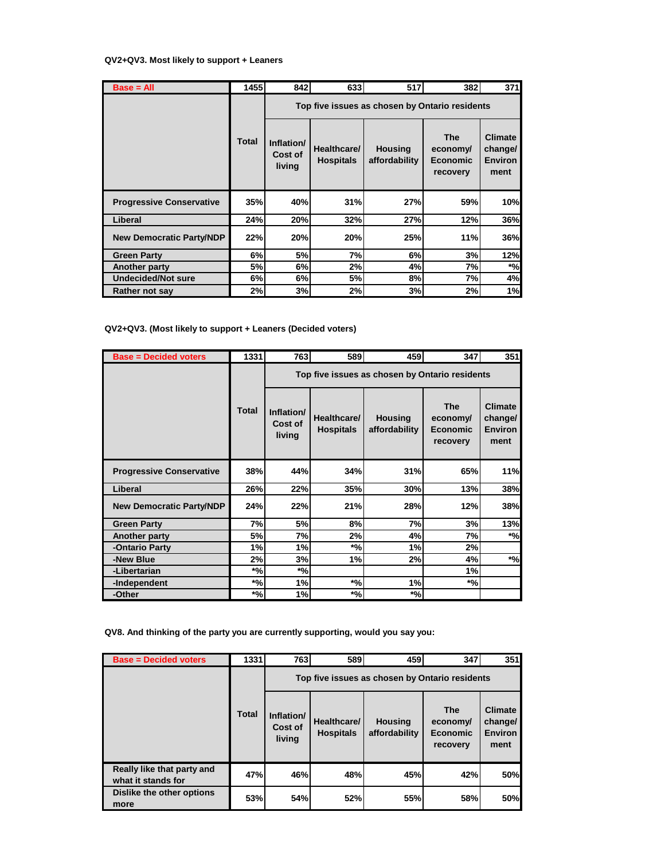## **QV2+QV3. Most likely to support + Leaners**

| $Base = All$                    | 1455         | 842                                            | 633                             | 517                             | 382                                                   | 371                                                 |  |  |
|---------------------------------|--------------|------------------------------------------------|---------------------------------|---------------------------------|-------------------------------------------------------|-----------------------------------------------------|--|--|
|                                 |              | Top five issues as chosen by Ontario residents |                                 |                                 |                                                       |                                                     |  |  |
|                                 | <b>Total</b> | Inflation/<br>Cost of<br>living                | Healthcare/<br><b>Hospitals</b> | <b>Housing</b><br>affordability | <b>The</b><br>economy/<br><b>Economic</b><br>recovery | <b>Climate</b><br>change/<br><b>Environ</b><br>ment |  |  |
| <b>Progressive Conservative</b> | 35%          | 40%                                            | 31%                             | 27%                             | 59%                                                   | 10%                                                 |  |  |
| Liberal                         | 24%          | 20%                                            | 32%                             | 27%                             | 12%                                                   | 36%                                                 |  |  |
| <b>New Democratic Party/NDP</b> | 22%          | 20%                                            | 20%                             | 25%                             | 11%                                                   | 36%                                                 |  |  |
| <b>Green Party</b>              | 6%           | 5%                                             | 7%                              | 6%                              | 3%                                                    | 12%                                                 |  |  |
| Another party                   | 5%           | 6%                                             | 2%                              | 4%                              | 7%                                                    | $*$ %                                               |  |  |
| <b>Undecided/Not sure</b>       | 6%           | 6%                                             | 5%                              | 8%                              | 7%                                                    | 4%                                                  |  |  |
| Rather not say                  | 2%           | 3%                                             | 2%                              | 3%                              | 2%                                                    | 1%                                                  |  |  |

## **QV2+QV3. (Most likely to support + Leaners (Decided voters)**

| <b>Base = Decided voters</b>    | 1331         | <b>763</b>                                     | 589                             | 459                             | 347                                                   | 351                                                 |  |  |
|---------------------------------|--------------|------------------------------------------------|---------------------------------|---------------------------------|-------------------------------------------------------|-----------------------------------------------------|--|--|
|                                 |              | Top five issues as chosen by Ontario residents |                                 |                                 |                                                       |                                                     |  |  |
|                                 | <b>Total</b> | Inflation/<br>Cost of<br>living                | Healthcare/<br><b>Hospitals</b> | <b>Housing</b><br>affordability | <b>The</b><br>economy/<br><b>Economic</b><br>recovery | <b>Climate</b><br>change/<br><b>Environ</b><br>ment |  |  |
| <b>Progressive Conservative</b> | 38%          | 44%                                            | 34%                             | 31%                             | 65%                                                   | 11%                                                 |  |  |
| Liberal                         | 26%          | 22%                                            | 35%                             | 30%                             | 13%                                                   | 38%                                                 |  |  |
| <b>New Democratic Party/NDP</b> | 24%          | 22%                                            | 21%                             | 28%                             | 12%                                                   | 38%                                                 |  |  |
| <b>Green Party</b>              | 7%           | 5%                                             | 8%                              | 7%                              | 3%                                                    | 13%                                                 |  |  |
| Another party                   | 5%           | 7%                                             | 2%                              | 4%                              | 7%                                                    | $*_{\%}$                                            |  |  |
| -Ontario Party                  | 1%           | 1%                                             | $*_{\%}$                        | 1%                              | 2%                                                    |                                                     |  |  |
| -New Blue                       | 2%           | 3%                                             | 1%                              | 2%                              | 4%                                                    | $*_{\%}$                                            |  |  |
| -Libertarian                    | $*_{\%}$     | $*$ %                                          |                                 |                                 | 1%                                                    |                                                     |  |  |
| -Independent                    | $*$ %        | 1%                                             | $*$ %                           | 1%                              | $*$ %                                                 |                                                     |  |  |
| -Other                          | $*$ %        | 1%                                             | $^{\ast}$ %                     | $^*%$                           |                                                       |                                                     |  |  |

**QV8. And thinking of the party you are currently supporting, would you say you:**

| <b>Base = Decided voters</b>                     | 1331         | 763                             | 589                                            | 459                             | 347                                                   | 351                                                 |  |  |
|--------------------------------------------------|--------------|---------------------------------|------------------------------------------------|---------------------------------|-------------------------------------------------------|-----------------------------------------------------|--|--|
|                                                  |              |                                 | Top five issues as chosen by Ontario residents |                                 |                                                       |                                                     |  |  |
|                                                  | <b>Total</b> | Inflation/<br>Cost of<br>living | Healthcare/<br><b>Hospitals</b>                | <b>Housing</b><br>affordability | <b>The</b><br>economy/<br><b>Economic</b><br>recovery | <b>Climate</b><br>change/<br><b>Environ</b><br>ment |  |  |
| Really like that party and<br>what it stands for | 47%          | 46%                             | 48%                                            | 45%                             | 42%                                                   | 50%                                                 |  |  |
| Dislike the other options<br>more                | 53%          | 54%                             | 52%                                            | 55%                             | 58%                                                   | 50%                                                 |  |  |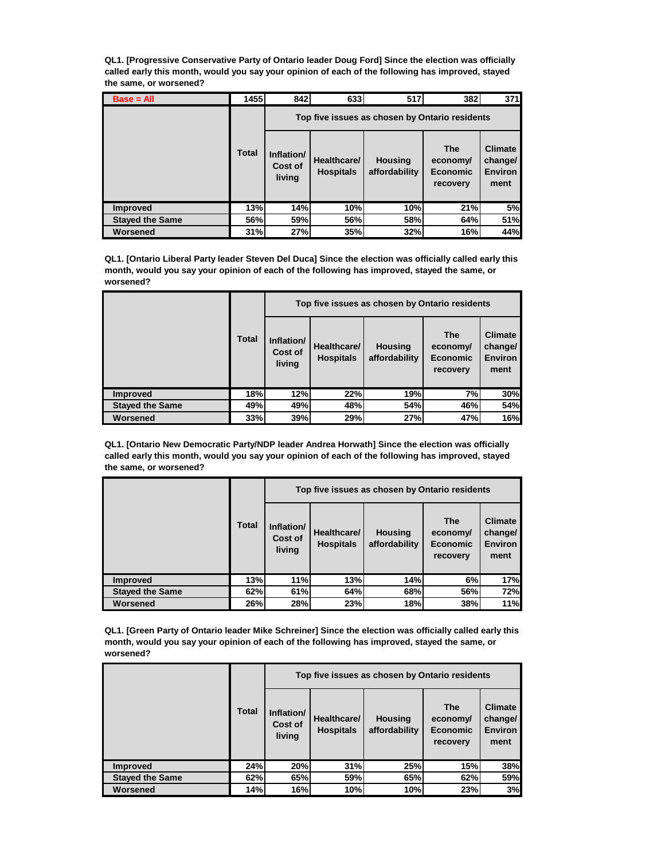**QL1. [Progressive Conservative Party of Ontario leader Doug Ford] Since the election was officially called early this month, would you say your opinion of each of the following has improved, stayed the same, or worsened?**

| $Base = All$           | 1455         | 842                                            | 633                             | 517                             | 382                                            | 371                                                 |
|------------------------|--------------|------------------------------------------------|---------------------------------|---------------------------------|------------------------------------------------|-----------------------------------------------------|
|                        |              | Top five issues as chosen by Ontario residents |                                 |                                 |                                                |                                                     |
|                        | <b>Total</b> | Inflation/<br>Cost of<br>living                | Healthcare/<br><b>Hospitals</b> | <b>Housing</b><br>affordability | <b>The</b><br>economy/<br>Economic<br>recovery | <b>Climate</b><br>change/<br><b>Environ</b><br>ment |
| <b>Improved</b>        | 13%          | 14%                                            | 10%                             | 10%                             | 21%                                            | 5%                                                  |
| <b>Stayed the Same</b> | 56%          | 59%                                            | 56%                             | 58%                             | 64%                                            | 51%                                                 |
| Worsened               | 31%          | 27%                                            | 35%                             | 32%                             | 16%                                            | 44%                                                 |

**QL1. [Ontario Liberal Party leader Steven Del Duca] Since the election was officially called early this month, would you say your opinion of each of the following has improved, stayed the same, or worsened?**

|                        |              |                                 |                                 | Top five issues as chosen by Ontario residents |                                                       |                                                     |
|------------------------|--------------|---------------------------------|---------------------------------|------------------------------------------------|-------------------------------------------------------|-----------------------------------------------------|
|                        | <b>Total</b> | Inflation/<br>Cost of<br>living | Healthcare/<br><b>Hospitals</b> | <b>Housing</b><br>affordability                | <b>The</b><br>economy/<br><b>Economic</b><br>recovery | <b>Climate</b><br>change/<br><b>Environ</b><br>ment |
| <b>Improved</b>        | <b>18%</b>   | 12%                             | 22%                             | 19%                                            | 7%                                                    | 30%                                                 |
| <b>Stayed the Same</b> | 49%          | 49%                             | 48%                             | 54%                                            | 46%                                                   | 54%                                                 |
| Worsened               | 33%          | 39%                             | 29%                             | 27%                                            | 47%                                                   | 16%                                                 |

**QL1. [Ontario New Democratic Party/NDP leader Andrea Horwath] Since the election was officially called early this month, would you say your opinion of each of the following has improved, stayed the same, or worsened?**

|                        |              |                                 |                                 | Top five issues as chosen by Ontario residents |                                                       |                                                     |
|------------------------|--------------|---------------------------------|---------------------------------|------------------------------------------------|-------------------------------------------------------|-----------------------------------------------------|
|                        | <b>Total</b> | Inflation/<br>Cost of<br>living | Healthcare/<br><b>Hospitals</b> | <b>Housing</b><br>affordability                | <b>The</b><br>economy/<br><b>Economic</b><br>recovery | <b>Climate</b><br>change/<br><b>Environ</b><br>ment |
| <b>Improved</b>        | 13%          | 11%                             | 13%                             | 14%                                            | 6%                                                    | 17%                                                 |
| <b>Stayed the Same</b> | 62%          | 61%                             | 64%                             | 68%                                            | <b>56%</b>                                            | 72%                                                 |
| Worsened               | 26%          | 28%                             | 23%                             | 18%                                            | 38%                                                   | 11%                                                 |

**QL1. [Green Party of Ontario leader Mike Schreiner] Since the election was officially called early this month, would you say your opinion of each of the following has improved, stayed the same, or worsened?**

|                        |              |                                 |                                 | Top five issues as chosen by Ontario residents |                                                       |                                                     |
|------------------------|--------------|---------------------------------|---------------------------------|------------------------------------------------|-------------------------------------------------------|-----------------------------------------------------|
|                        | <b>Total</b> | Inflation/<br>Cost of<br>living | Healthcare/<br><b>Hospitals</b> | <b>Housing</b><br>affordability                | <b>The</b><br>economy/<br><b>Economic</b><br>recovery | <b>Climate</b><br>change/<br><b>Environ</b><br>ment |
| <b>Improved</b>        | 24%          | 20%                             | 31%                             | 25%                                            | <b>15%</b>                                            | 38%                                                 |
| <b>Stayed the Same</b> | 62%          | 65%                             | 59%                             | 65%                                            | 62%                                                   | 59%                                                 |
| Worsened               | 14%          | 16%                             | 10%                             | 10%                                            | 23%                                                   | 3%                                                  |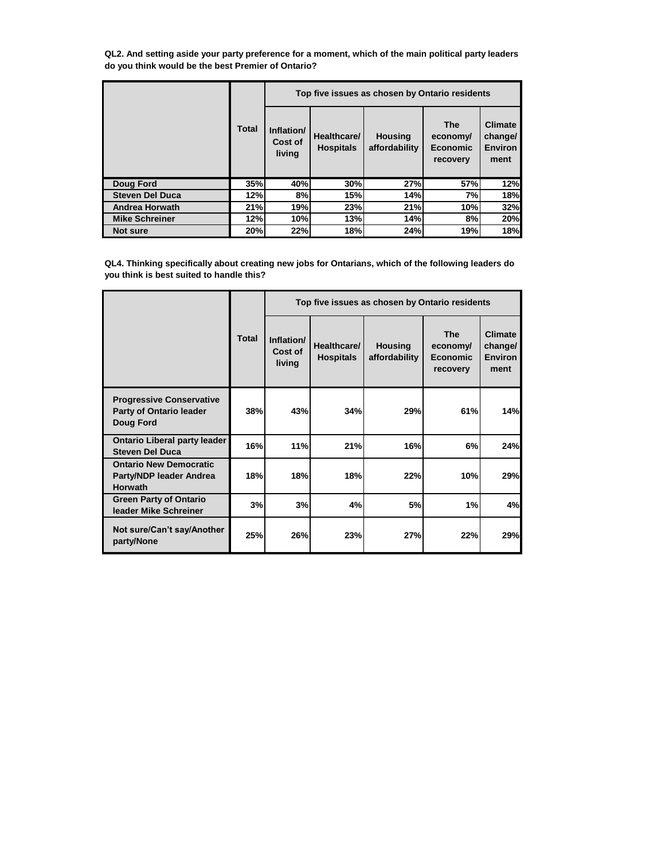**QL2. And setting aside your party preference for a moment, which of the main political party leaders do you think would be the best Premier of Ontario?**

|                        |              | Top five issues as chosen by Ontario residents |                                 |                                 |                                                |                                                     |  |
|------------------------|--------------|------------------------------------------------|---------------------------------|---------------------------------|------------------------------------------------|-----------------------------------------------------|--|
|                        | <b>Total</b> | Inflation/<br>Cost of<br>living                | Healthcare/<br><b>Hospitals</b> | <b>Housing</b><br>affordability | <b>The</b><br>economy/<br>Economic<br>recovery | <b>Climate</b><br>change/<br><b>Environ</b><br>ment |  |
| Doug Ford              | 35%          | 40%                                            | 30%                             | 27%                             | 57%                                            | 12%                                                 |  |
| <b>Steven Del Duca</b> | 12%          | 8%                                             | 15%                             | 14%                             | 7%                                             | 18%                                                 |  |
| <b>Andrea Horwath</b>  | 21%          | 19%                                            | 23%                             | 21%                             | 10%                                            | 32%                                                 |  |
| <b>Mike Schreiner</b>  | 12%          | 10%                                            | 13%                             | 14%                             | 8%                                             | 20%                                                 |  |
| Not sure               | 20%          | 22%                                            | 18%                             | 24%                             | 19%                                            | 18%                                                 |  |

**QL4. Thinking specifically about creating new jobs for Ontarians, which of the following leaders do you think is best suited to handle this?**

|                                                                                       |              |                                 |                                 | Top five issues as chosen by Ontario residents |                                                       |                                                     |
|---------------------------------------------------------------------------------------|--------------|---------------------------------|---------------------------------|------------------------------------------------|-------------------------------------------------------|-----------------------------------------------------|
|                                                                                       | <b>Total</b> | Inflation/<br>Cost of<br>living | Healthcare/<br><b>Hospitals</b> | <b>Housing</b><br>affordability                | <b>The</b><br>economy/<br><b>Economic</b><br>recovery | <b>Climate</b><br>change/<br><b>Environ</b><br>ment |
| <b>Progressive Conservative</b><br><b>Party of Ontario leader</b><br><b>Doug Ford</b> | 38%          | 43%                             | 34%                             | 29%                                            | 61%                                                   | 14%                                                 |
| <b>Ontario Liberal party leader</b><br><b>Steven Del Duca</b>                         | 16%          | 11%                             | 21%                             | 16%                                            | 6%                                                    | 24%                                                 |
| <b>Ontario New Democratic</b><br>Party/NDP leader Andrea<br><b>Horwath</b>            | 18%          | 18%                             | 18%                             | 22%                                            | 10%                                                   | 29%                                                 |
| <b>Green Party of Ontario</b><br>leader Mike Schreiner                                | 3%           | 3%                              | 4%                              | 5%                                             | 1%                                                    | 4%                                                  |
| Not sure/Can't say/Another<br>party/None                                              | 25%          | 26%                             | 23%                             | 27%                                            | 22%                                                   | 29%                                                 |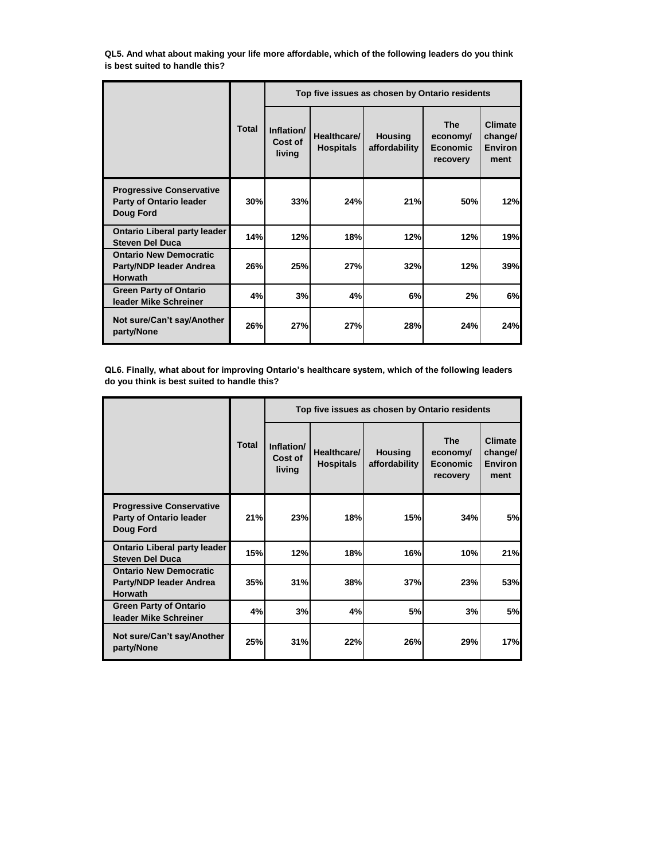**QL5. And what about making your life more affordable, which of the following leaders do you think is best suited to handle this?**

|                                                                                       |              |                                 |                                 | Top five issues as chosen by Ontario residents |                                                       |                                                     |
|---------------------------------------------------------------------------------------|--------------|---------------------------------|---------------------------------|------------------------------------------------|-------------------------------------------------------|-----------------------------------------------------|
|                                                                                       | <b>Total</b> | Inflation/<br>Cost of<br>living | Healthcare/<br><b>Hospitals</b> | <b>Housing</b><br>affordability                | <b>The</b><br>economy/<br><b>Economic</b><br>recovery | <b>Climate</b><br>change/<br><b>Environ</b><br>ment |
| <b>Progressive Conservative</b><br><b>Party of Ontario leader</b><br><b>Doug Ford</b> | 30%          | 33%                             | 24%                             | 21%                                            | 50%                                                   | 12%                                                 |
| <b>Ontario Liberal party leader</b><br><b>Steven Del Duca</b>                         | 14%          | 12%                             | 18%                             | 12%                                            | 12%                                                   | 19%                                                 |
| <b>Ontario New Democratic</b><br>Party/NDP leader Andrea<br><b>Horwath</b>            | 26%          | 25%                             | 27%                             | 32%                                            | 12%                                                   | 39%                                                 |
| <b>Green Party of Ontario</b><br>leader Mike Schreiner                                | 4%           | 3%                              | 4%                              | 6%                                             | 2%                                                    | 6%                                                  |
| Not sure/Can't say/Another<br>party/None                                              | 26%          | 27%                             | 27%                             | 28%                                            | 24%                                                   | 24%                                                 |

**QL6. Finally, what about for improving Ontario's healthcare system, which of the following leaders do you think is best suited to handle this?**

|                                                                                |              |                                 |                                 | Top five issues as chosen by Ontario residents |                                                       |                                                     |
|--------------------------------------------------------------------------------|--------------|---------------------------------|---------------------------------|------------------------------------------------|-------------------------------------------------------|-----------------------------------------------------|
|                                                                                | <b>Total</b> | Inflation/<br>Cost of<br>living | Healthcare/<br><b>Hospitals</b> | <b>Housing</b><br>affordability                | <b>The</b><br>economy/<br><b>Economic</b><br>recovery | <b>Climate</b><br>change/<br><b>Environ</b><br>ment |
| <b>Progressive Conservative</b><br><b>Party of Ontario leader</b><br>Doug Ford | 21%          | 23%                             | 18%                             | <b>15%</b>                                     | 34%                                                   | <b>5%</b>                                           |
| <b>Ontario Liberal party leader</b><br><b>Steven Del Duca</b>                  | 15%          | 12%                             | 18%                             | 16%                                            | 10%                                                   | 21%                                                 |
| <b>Ontario New Democratic</b><br>Party/NDP leader Andrea<br><b>Horwath</b>     | 35%          | 31%                             | 38%                             | 37%                                            | 23%                                                   | 53%                                                 |
| <b>Green Party of Ontario</b><br>leader Mike Schreiner                         | 4%           | 3%                              | 4%                              | 5%                                             | 3%                                                    | 5%                                                  |
| Not sure/Can't say/Another<br>party/None                                       | 25%          | 31%                             | 22%                             | 26%                                            | 29%                                                   | 17%                                                 |